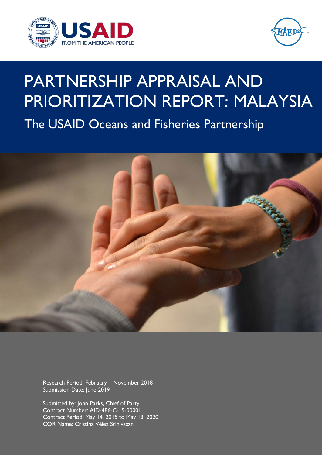



# PARTNERSHIP APPRAISAL AND PRIORITIZATION REPORT: MALAYSIA The USAID Oceans and Fisheries Partnership



Research Period: February – November 2018 Submission Date: June 2019

Submitted by: John Parks, Chief of Party Contract Number: AID-486-C-15-00001 Contract Period: May 14, 2015 to May 13, 2020 COR Name: Cristina Vélez Srinivasan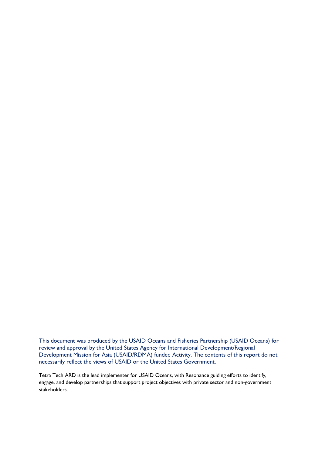This document was produced by the USAID Oceans and Fisheries Partnership (USAID Oceans) for review and approval by the United States Agency for International Development/Regional Development Mission for Asia (USAID/RDMA) funded Activity. The contents of this report do not necessarily reflect the views of USAID or the United States Government.

Tetra Tech ARD is the lead implementer for USAID Oceans, with Resonance guiding efforts to identify, engage, and develop partnerships that support project objectives with private sector and non-government stakeholders.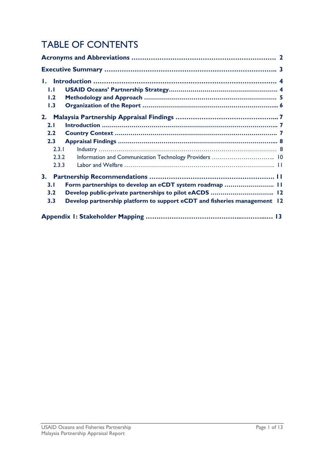# TABLE OF CONTENTS

| Ι.                                                             |                                                                          |  |
|----------------------------------------------------------------|--------------------------------------------------------------------------|--|
| $\mathbf{L}$                                                   |                                                                          |  |
| 1.2                                                            |                                                                          |  |
| 1.3                                                            |                                                                          |  |
| 2.                                                             |                                                                          |  |
| 2.1                                                            |                                                                          |  |
| 2.2                                                            |                                                                          |  |
| 2.3                                                            |                                                                          |  |
| 2.3.1                                                          |                                                                          |  |
| 2.3.2                                                          | Information and Communication Technology Providers  10                   |  |
| 2.3.3                                                          |                                                                          |  |
| 3.                                                             |                                                                          |  |
| Form partnerships to develop an eCDT system roadmap  11<br>3.1 |                                                                          |  |
| Develop public-private partnerships to pilot eACDS  12<br>3.2  |                                                                          |  |
| 3.3                                                            | Develop partnership platform to support eCDT and fisheries management 12 |  |
|                                                                |                                                                          |  |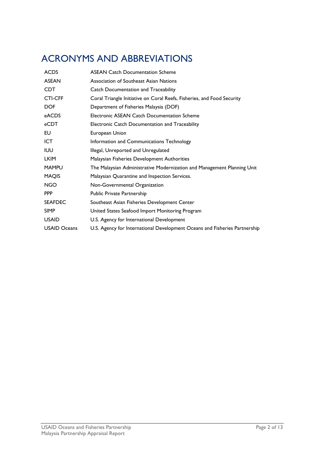### <span id="page-3-0"></span>ACRONYMS AND ABBREVIATIONS

| <b>ACDS</b>         | <b>ASEAN Catch Documentation Scheme</b>                                    |
|---------------------|----------------------------------------------------------------------------|
| <b>ASEAN</b>        | Association of Southeast Asian Nations                                     |
| <b>CDT</b>          | <b>Catch Documentation and Traceability</b>                                |
| <b>CTI-CFF</b>      | Coral Triangle Initiative on Coral Reefs, Fisheries, and Food Security     |
| <b>DOF</b>          | Department of Fisheries Malaysia (DOF)                                     |
| eACDS               | Electronic ASEAN Catch Documentation Scheme                                |
| eCDT                | Electronic Catch Documentation and Traceability                            |
| EU                  | European Union                                                             |
| <b>ICT</b>          | Information and Communications Technology                                  |
| <b>IUU</b>          | Illegal, Unreported and Unregulated                                        |
| <b>LKIM</b>         | Malaysian Fisheries Development Authorities                                |
| <b>MAMPU</b>        | The Malaysian Administrative Modernization and Management Planning Unit    |
| <b>MAQIS</b>        | Malaysian Quarantine and Inspection Services.                              |
| <b>NGO</b>          | Non-Governmental Organization                                              |
| <b>PPP</b>          | <b>Public Private Partnership</b>                                          |
| <b>SEAFDEC</b>      | Southeast Asian Fisheries Development Center                               |
| <b>SIMP</b>         | United States Seafood Import Monitoring Program                            |
| <b>USAID</b>        | U.S. Agency for International Development                                  |
| <b>USAID Oceans</b> | U.S. Agency for International Development Oceans and Fisheries Partnership |
|                     |                                                                            |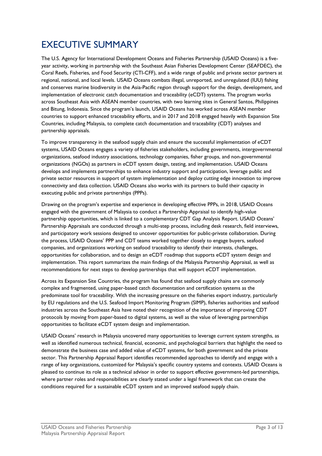### <span id="page-4-0"></span>EXECUTIVE SUMMARY

The U.S. Agency for International Development Oceans and Fisheries Partnership (USAID Oceans) is a fiveyear activity, working in partnership with the Southeast Asian Fisheries Development Center (SEAFDEC), the Coral Reefs, Fisheries, and Food Security (CTI-CFF), and a wide range of public and private sector partners at regional, national, and local levels. USAID Oceans combats illegal, unreported, and unregulated (IUU) fishing and conserves marine biodiversity in the Asia-Pacific region through support for the design, development, and implementation of electronic catch documentation and traceability (eCDT) systems. The program works across Southeast Asia with ASEAN member countries, with two learning sites in General Santos, Philippines and Bitung, Indonesia. Since the program's launch, USAID Oceans has worked across ASEAN member countries to support enhanced traceability efforts, and in 2017 and 2018 engaged heavily with Expansion Site Countries, including Malaysia, to complete catch documentation and traceability (CDT) analyses and partnership appraisals.

To improve transparency in the seafood supply chain and ensure the successful implementation of eCDT systems, USAID Oceans engages a variety of fisheries stakeholders, including governments, intergovernmental organizations, seafood industry associations, technology companies, fisher groups, and non-governmental organizations (NGOs) as partners in eCDT system design, testing, and implementation. USAID Oceans develops and implements partnerships to enhance industry support and participation, leverage public and private sector resources in support of system implementation and deploy cutting edge innovation to improve connectivity and data collection. USAID Oceans also works with its partners to build their capacity in executing public and private partnerships (PPPs).

Drawing on the program's expertise and experience in developing effective PPPs, in 2018, USAID Oceans engaged with the government of Malaysia to conduct a Partnership Appraisal to identify high-value partnership opportunities, which is linked to a complementary CDT Gap Analysis Report. USAID Oceans' Partnership Appraisals are conducted through a multi-step process, including desk research, field interviews, and participatory work sessions designed to uncover opportunities for public-private collaboration. During the process, USAID Oceans' PPP and CDT teams worked together closely to engage buyers, seafood companies, and organizations working on seafood traceability to identify their interests, challenges, opportunities for collaboration, and to design an eCDT roadmap that supports eCDT system design and implementation. This report summarizes the main findings of the Malaysia Partnership Appraisal, as well as recommendations for next steps to develop partnerships that will support eCDT implementation.

Across its Expansion Site Countries, the program has found that seafood supply chains are commonly complex and fragmented, using paper-based catch documentation and certification systems as the predominate tool for traceability. With the increasing pressure on the fisheries export industry, particularly by EU regulations and the U.S. Seafood Import Monitoring Program (SIMP), fisheries authorities and seafood industries across the Southeast Asia have noted their recognition of the importance of improving CDT protocols by moving from paper-based to digital systems, as well as the value of leveraging partnerships opportunities to facilitate eCDT system design and implementation.

USAID Oceans' research in Malaysia uncovered many opportunities to leverage current system strengths, as well as identified numerous technical, financial, economic, and psychological barriers that highlight the need to demonstrate the business case and added value of eCDT systems, for both government and the private sector. This Partnership Appraisal Report identifies recommended approaches to identify and engage with a range of key organizations, customized for Malaysia's specific country systems and contexts. USAID Oceans is pleased to continue its role as a technical advisor in order to support effective government-led partnerships, where partner roles and responsibilities are clearly stated under a legal framework that can create the conditions required for a sustainable eCDT system and an improved seafood supply chain.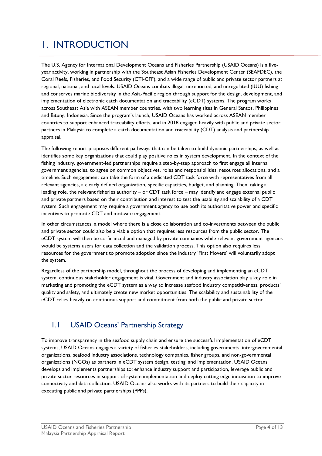### <span id="page-5-0"></span>1. INTRODUCTION

The U.S. Agency for International Development Oceans and Fisheries Partnership (USAID Oceans) is a fiveyear activity, working in partnership with the Southeast Asian Fisheries Development Center (SEAFDEC), the Coral Reefs, Fisheries, and Food Security (CTI-CFF), and a wide range of public and private sector partners at regional, national, and local levels. USAID Oceans combats illegal, unreported, and unregulated (IUU) fishing and conserves marine biodiversity in the Asia-Pacific region through support for the design, development, and implementation of electronic catch documentation and traceability (eCDT) systems. The program works across Southeast Asia with ASEAN member countries, with two learning sites in General Santos, Philippines and Bitung, Indonesia. Since the program's launch, USAID Oceans has worked across ASEAN member countries to support enhanced traceability efforts, and in 2018 engaged heavily with public and private sector partners in Malaysia to complete a catch documentation and traceability (CDT) analysis and partnership appraisal.

The following report proposes different pathways that can be taken to build dynamic partnerships, as well as identifies some key organizations that could play positive roles in system development. In the context of the fishing industry, government-led partnerships require a step-by-step approach to first engage all internal government agencies, to agree on common objectives, roles and responsibilities, resources allocations, and a timeline. Such engagement can take the form of a dedicated CDT task force with representatives from all relevant agencies, a clearly defined organization, specific capacities, budget, and planning. Then, taking a leading role, the relevant fisheries authority – or CDT task force – may identify and engage external public and private partners based on their contribution and interest to test the usability and scalability of a CDT system. Such engagement may require a government agency to use both its authoritative power and specific incentives to promote CDT and motivate engagement.

In other circumstances, a model where there is a close collaboration and co-investments between the public and private sector could also be a viable option that requires less resources from the public sector. The eCDT system will then be co-financed and managed by private companies while relevant government agencies would be systems users for data collection and the validation process. This option also requires less resources for the government to promote adoption since the industry 'First Movers' will voluntarily adopt the system.

Regardless of the partnership model, throughout the process of developing and implementing an eCDT system, continuous stakeholder engagement is vital. Government and industry association play a key role in marketing and promoting the eCDT system as a way to increase seafood industry competitiveness, products' quality and safety, and ultimately create new market opportunities. The scalability and sustainability of the eCDT relies heavily on continuous support and commitment from both the public and private sector.

### <span id="page-5-1"></span>1.1 USAID Oceans' Partnership Strategy

To improve transparency in the seafood supply chain and ensure the successful implementation of eCDT systems, USAID Oceans engages a variety of fisheries stakeholders, including governments, intergovernmental organizations, seafood industry associations, technology companies, fisher groups, and non-governmental organizations (NGOs) as partners in eCDT system design, testing, and implementation. USAID Oceans develops and implements partnerships to: enhance industry support and participation, leverage public and private sector resources in support of system implementation and deploy cutting edge innovation to improve connectivity and data collection. USAID Oceans also works with its partners to build their capacity in executing public and private partnerships (PPPs).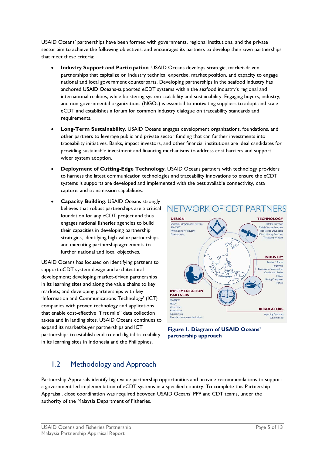USAID Oceans' partnerships have been formed with governments, regional institutions, and the private sector aim to achieve the following objectives, and encourages its partners to develop their own partnerships that meet these criteria:

- **Industry Support and Participation**. USAID Oceans develops strategic, market-driven partnerships that capitalize on industry technical expertise, market position, and capacity to engage national and local government counterparts. Developing partnerships in the seafood industry has anchored USAID Oceans-supported eCDT systems within the seafood industry's regional and international realities, while bolstering system scalability and sustainability. Engaging buyers, industry, and non-governmental organizations (NGOs) is essential to motivating suppliers to adopt and scale eCDT and establishes a forum for common industry dialogue on traceability standards and requirements.
- **Long-Term Sustainability**. USAID Oceans engages development organizations, foundations, and other partners to leverage public and private sector funding that can further investments into traceability initiatives. Banks, impact investors, and other financial institutions are ideal candidates for providing sustainable investment and financing mechanisms to address cost barriers and support wider system adoption.
- **Deployment of Cutting-Edge Technology**. USAID Oceans partners with technology providers to harness the latest communication technologies and traceability innovations to ensure the eCDT systems is supports are developed and implemented with the best available connectivity, data capture, and transmission capabilities.
- **Capacity Building**. USAID Oceans strongly believes that robust partnerships are a critical foundation for any eCDT project and thus engages national fisheries agencies to build their capacities in developing partnership strategies, identifying high-value partnerships, and executing partnership agreements to further national and local objectives.

USAID Oceans has focused on identifying partners to support eCDT system design and architectural development; developing market-driven partnerships in its learning sites and along the value chains to key markets; and developing partnerships with key 'Information and Communications Technology' (ICT) companies with proven technology and applications that enable cost-effective "first mile" data collection at-sea and in landing sites. USAID Oceans continues to expand its market/buyer partnerships and ICT partnerships to establish end-to-end digital traceability in its learning sites in Indonesia and the Philippines.





#### <span id="page-6-0"></span>1.2 Methodology and Approach

Partnership Appraisals identify high-value partnership opportunities and provide recommendations to support a government-led implementation of eCDT systems in a specified country. To complete this Partnership Appraisal, close coordination was required between USAID Oceans' PPP and CDT teams, under the authority of the Malaysia Department of Fisheries.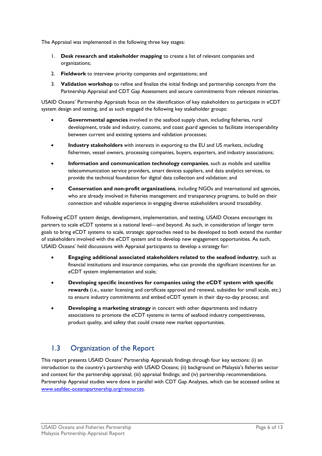The Appraisal was implemented in the following three key stages:

- 1. **Desk research and stakeholder mapping** to create a list of relevant companies and organizations;
- 2. **Fieldwork** to interview priority companies and organizations; and
- 3. **Validation workshop** to refine and finalize the initial findings and partnership concepts from the Partnership Appraisal and CDT Gap Assessment and secure commitments from relevant ministries.

USAID Oceans' Partnership Appraisals focus on the identification of key stakeholders to participate in eCDT system design and testing, and as such engaged the following key stakeholder groups:

- **Governmental agencies** involved in the seafood supply chain, including fisheries, rural development, trade and industry, customs, and coast guard agencies to facilitate interoperability between current and existing systems and validation processes;
- **Industry stakeholders** with interests in exporting to the EU and US markets, including fishermen, vessel owners, processing companies, buyers, exporters, and industry associations;
- **Information and communication technology companies**, such as mobile and satellite telecommunication service providers, smart devices suppliers, and data analytics services, to provide the technical foundation for digital data collection and validation; and
- **Conservation and non-profit organizations**, including NGOs and international aid agencies, who are already involved in fisheries management and transparency programs, to build on their connection and valuable experience in engaging diverse stakeholders around traceability.

Following eCDT system design, development, implementation, and testing, USAID Oceans encourages its partners to scale eCDT systems at a national level—and beyond. As such, in consideration of longer term goals to bring eCDT systems to scale, strategic approaches need to be developed to both extend the number of stakeholders involved with the eCDT system and to develop new engagement opportunities. As such, USAID Oceans' held discussions with Appraisal participants to develop a strategy for:

- **Engaging additional associated stakeholders related to the seafood industry**, such as financial institutions and insurance companies, who can provide the significant incentives for an eCDT system implementation and scale;
- **Developing specific incentives for companies using the eCDT system with specific rewards** (i.e., easier licensing and certificate approval and renewal, subsidies for small scale, etc.) to ensure industry commitments and embed eCDT system in their day-to-day process; and
- **Developing a marketing strategy** in concert with other departments and industry associations to promote the eCDT systems in terms of seafood industry competitiveness, product quality, and safety that could create new market opportunities.

#### <span id="page-7-0"></span>1.3 Organization of the Report

This report presents USAID Oceans' Partnership Appraisals findings through four key sections: (i) an introduction to the country's partnership with USAID Oceans; (ii) background on Malaysia's fisheries sector and context for the partnership appraisal; (iii) appraisal findings; and (iv) partnership recommendations. Partnership Appraisal studies were done in parallel with CDT Gap Analyses, which can be accessed online at [www.seafdec-oceanspartnership.org/resources.](http://www.seafdec-oceanspartnership.org/resources)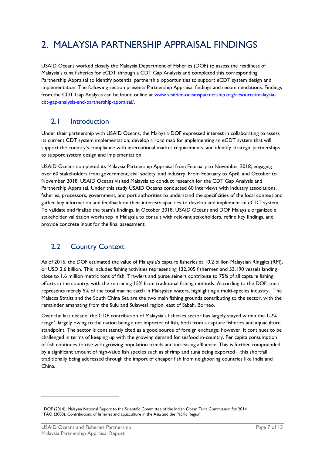## <span id="page-8-0"></span>2. MALAYSIA PARTNERSHIP APPRAISAL FINDINGS

USAID Oceans worked closely the Malaysia Department of Fisheries (DOF) to assess the readiness of Malaysia's tuna fisheries for eCDT through a CDT Gap Analysis and completed this corresponding Partnership Appraisal to identify potential partnership opportunities to support eCDT system design and implementation. The following section presents Partnership Appraisal findings and recommendations. Findings from the CDT Gap Analysis can be found online at [www.seafdec-oceanspartnership.org/resource/malaysia](https://www.seafdec-oceanspartnership.org/resource/malaysia-cdt-gap-analysis-and-partnership-appraisal/)[cdt-gap-analysis-and-partnership-appraisal/.](https://www.seafdec-oceanspartnership.org/resource/malaysia-cdt-gap-analysis-and-partnership-appraisal/) 

#### <span id="page-8-1"></span>2.1 Introduction

Under their partnership with USAID Oceans, the Malaysia DOF expressed interest in collaborating to assess its current CDT system implementation, develop a road map for implementing an eCDT system that will support the country's compliance with international market requirements, and identify strategic partnerships to support system design and implementation.

USAID Oceans completed its Malaysia Partnership Appraisal from February to November 2018, engaging over 60 stakeholders from government, civil society, and industry. From February to April, and October to November 2018, USAID Oceans visited Malaysia to conduct research for the CDT Gap Analysis and Partnership Appraisal. Under this study USAID Oceans conducted 60 interviews with industry associations, fisheries, processors, government, and port authorities to understand the specificities of the local context and gather key information and feedback on their interest/capacities to develop and implement an eCDT system. To validate and finalize the team's findings, in October 2018, USAID Oceans and DOF Malaysia organized a stakeholder validation workshop in Malaysia to consult with relevant stakeholders, refine key findings, and provide concrete input for the final assessment.

#### <span id="page-8-2"></span>2.2 Country Context

As of 2016, the DOF estimated the value of Malaysia's capture fisheries at 10.2 billion Malaysian Ringgits (RM), or USD 2.6 billion. This includes fishing activities representing 132,305 fishermen and 53,190 vessels landing close to 1.6 million metric tons of fish. Trawlers and purse seiners contribute to 75% of all capture fishing efforts in the country, with the remaining 15% from traditional fishing methods. According to the DOF, tuna represents merely 5% of the total marine catch in Malaysian waters, highlighting a multi-species industry.<sup>[1](#page-8-3)</sup> The Malacca Straits and the South China Sea are the two main fishing grounds contributing to the sector, with the remainder emanating from the Sulu and Sulawesi region, east of Sabah, Borneo.

Over the last decade, the GDP contribution of Malaysia's fisheries sector has largely stayed within the 1-2% range<sup>[2](#page-8-4)</sup>, largely owing to the nation being a net importer of fish, both from a capture fisheries and aquaculture standpoint. The sector is consistently cited as a good source of foreign exchange; however, it continues to be challenged in terms of keeping up with the growing demand for seafood in-country. Per capita consumption of fish continues to rise with growing population trends and increasing affluence. This is further compounded by a significant amount of high-value fish species such as shrimp and tuna being exported—this shortfall traditionally being addressed through the import of cheaper fish from neighboring countries like India and China.

<u>.</u>

<span id="page-8-4"></span><span id="page-8-3"></span><sup>1</sup> DOF (2014). Malaysia National Report to the Scientific Committee of the Indian Ocean Tuna Commission for 2014 <sup>2</sup> FAO (2008). Contributions of fisheries and aquaculture in the Asia and the Pacific Region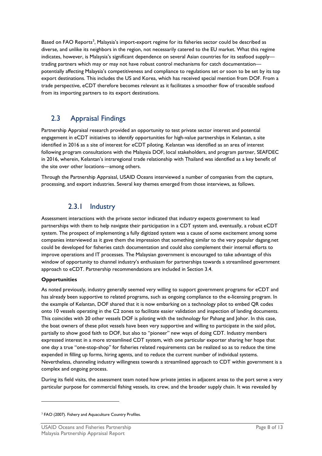Based on FAO Reports<sup>[3](#page-9-2)</sup>, Malaysia's import-export regime for its fisheries sector could be described as diverse, and unlike its neighbors in the region, not necessarily catered to the EU market. What this regime indicates, however, is Malaysia's significant dependence on several Asian countries for its seafood supplytrading partners which may or may not have robust control mechanisms for catch documentation potentially affecting Malaysia's competitiveness and compliance to regulations set or soon to be set by its top export destinations. This includes the US and Korea, which has received special mention from DOF. From a trade perspective, eCDT therefore becomes relevant as it facilitates a smoother flow of traceable seafood from its importing partners to its export destinations.

#### <span id="page-9-0"></span>2.3 Appraisal Findings

Partnership Appraisal research provided an opportunity to test private sector interest and potential engagement in eCDT initiatives to identify opportunities for high-value partnerships in Kelantan, a site identified in 2016 as a site of interest for eCDT piloting. Kelantan was identified as an area of interest following program consultations with the Malaysia DOF, local stakeholders, and program partner, SEAFDEC in 2016, wherein, Kelantan's intraregional trade relationship with Thailand was identified as a key benefit of the site over other locations—among others.

Through the Partnership Appraisal, USAID Oceans interviewed a number of companies from the capture, processing, and export industries. Several key themes emerged from those interviews, as follows.

#### 2.3.1 Industry

<span id="page-9-1"></span>Assessment interactions with the private sector indicated that industry expects government to lead partnerships with them to help navigate their participation in a CDT system and, eventually, a robust eCDT system. The prospect of implementing a fully digitized system was a cause of some excitement among some companies interviewed as it gave them the impression that something similar to the very popular dagang.net could be developed for fisheries catch documentation and could also complement their internal efforts to improve operations and IT processes. The Malaysian government is encouraged to take advantage of this window of opportunity to channel industry's enthusiasm for partnerships towards a streamlined government approach to eCDT. Partnership recommendations are included in Section 3.4.

#### **Opportunities**

<u>.</u>

As noted previously, industry generally seemed very willing to support government programs for eCDT and has already been supportive to related programs, such as ongoing compliance to the e-licensing program. In the example of Kelantan, DOF shared that it is now embarking on a technology pilot to embed QR codes onto 10 vessels operating in the C2 zones to facilitate easier validation and inspection of landing documents. This coincides with 20 other vessels DOF is piloting with the technology for Pahang and Johor. In this case, the boat owners of these pilot vessels have been very supportive and willing to participate in the said pilot, partially to show good faith to DOF, but also to "pioneer" new ways of doing CDT. Industry members expressed interest in a more streamlined CDT system, with one particular exporter sharing her hope that one day a true "one-stop-shop" for fisheries related requirements can be realized so as to reduce the time expended in filling up forms, hiring agents, and to reduce the current number of individual systems. Nevertheless, channeling industry willingness towards a streamlined approach to CDT within government is a complex and ongoing process.

During its field visits, the assessment team noted how private jetties in adjacent areas to the port serve a very particular purpose for commercial fishing vessels, its crew, and the broader supply chain. It was revealed by

<span id="page-9-2"></span><sup>&</sup>lt;sup>3</sup> FAO (2007). Fishery and Aquaculture Country Profiles.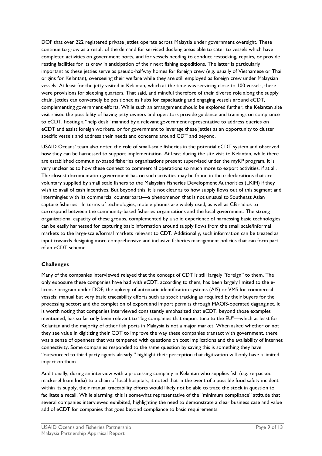DOF that over 222 registered private jetties operate across Malaysia under government oversight. These continue to grow as a result of the demand for serviced docking areas able to cater to vessels which have completed activities on government ports, and for vessels needing to conduct restocking, repairs, or provide resting facilities for its crew in anticipation of their next fishing expeditions. The latter is particularly important as these jetties serve as pseudo-halfway homes for foreign crew (e.g. usually of Vietnamese or Thai origins for Kelantan), overseeing their welfare while they are still employed as foreign crew under Malaysian vessels. At least for the jetty visited in Kelantan, which at the time was servicing close to 100 vessels, there were provisions for sleeping quarters. That said, and mindful therefore of their diverse role along the supply chain, jetties can conversely be positioned as hubs for capacitating and engaging vessels around eCDT, complementing government efforts. While such an arrangement should be explored further, the Kelantan site visit raised the possibility of having jetty owners and operators provide guidance and trainings on compliance to eCDT, hosting a "help desk" manned by a relevant government representative to address queries on eCDT and assist foreign workers, or for government to leverage these jetties as an opportunity to cluster specific vessels and address their needs and concerns around CDT and beyond.

USAID Oceans' team also noted the role of small-scale fisheries in the potential eCDT system and observed how they can be harnessed to support implementation. At least during the site visit to Kelantan, while there are established community-based fisheries organizations present supervised under the myKP program, it is very unclear as to how these connect to commercial operations so much more to export activities, if at all. The closest documentation government has on such activities may be found in the e-declarations that are voluntary supplied by small scale fishers to the Malaysian Fisheries Development Authorities (LKIM) if they wish to avail of cash incentives. But beyond this, it is not clear as to how supply flows out of this segment and intermingles with its commercial counterparts—a phenomenon that is not unusual to Southeast Asian capture fisheries. In terms of technologies, mobile phones are widely used, as well as CB radios to correspond between the community-based fisheries organizations and the local government. The strong organizational capacity of these groups, complemented by a solid experience of harnessing basic technologies, can be easily harnessed for capturing basic information around supply flows from the small scale/informal markets to the large-scale/formal markets relevant to CDT. Additionally, such information can be treated as input towards designing more comprehensive and inclusive fisheries management policies that can form part of an eCDT scheme.

#### **Challenges**

Many of the companies interviewed relayed that the concept of CDT is still largely "foreign" to them. The only exposure these companies have had with eCDT, according to them, has been largely limited to the elicense program under DOF; the upkeep of automatic identification systems (AIS) or VMS for commercial vessels; manual but very basic traceability efforts such as stock tracking as required by their buyers for the processing sector; and the completion of export and import permits through MAQIS-operated dagang.net. It is worth noting that companies interviewed consistently emphasized that eCDT, beyond those examples mentioned, has so far only been relevant to "big companies that export tuna to the EU"—which at least for Kelantan and the majority of other fish ports in Malaysia is not a major market. When asked whether or not they see value in digitizing their CDT to improve the way these companies transact with government, there was a sense of openness that was tempered with questions on cost implications and the availability of internet connectivity. Some companies responded to the same question by saying this is something they have "outsourced to third party agents already," highlight their perception that digitization will only have a limited impact on them.

Additionally, during an interview with a processing company in Kelantan who supplies fish (e.g. re-packed mackerel from India) to a chain of local hospitals, it noted that in the event of a possible food safety incident within its supply, their manual traceability efforts would likely not be able to trace the stock in question to facilitate a recall. While alarming, this is somewhat representative of the "minimum compliance" attitude that several companies interviewed exhibited, highlighting the need to demonstrate a clear business case and value add of eCDT for companies that goes beyond compliance to basic requirements.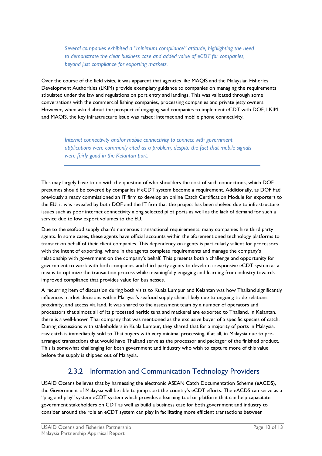*Several companies exhibited a "minimum compliance" attitude, highlighting the need to demonstrate the clear business case and added value of eCDT for companies, beyond just compliance for exporting markets.*

Over the course of the field visits, it was apparent that agencies like MAQIS and the Malaysian Fisheries Development Authorities (LKIM) provide exemplary guidance to companies on managing the requirements stipulated under the law and regulations on port entry and landings. This was validated through some conversations with the commercial fishing companies, processing companies and private jetty owners. However, when asked about the prospect of engaging said companies to implement eCDT with DOF, LKIM and MAQIS, the key infrastructure issue was raised: internet and mobile phone connectivity.

*Internet connectivity and/or mobile connectivity to connect with government applications were commonly cited as a problem, despite the fact that mobile signals were fairly good in the Kelantan port.* 

This may largely have to do with the question of who shoulders the cost of such connections, which DOF presumes should be covered by companies if eCDT system become a requirement. Additionally, as DOF had previously already commissioned an IT firm to develop an online Catch Certification Module for exporters to the EU, it was revealed by both DOF and the IT firm that the project has been shelved due to infrastructure issues such as poor internet connectivity along selected pilot ports as well as the lack of demand for such a service due to low export volumes to the EU.

Due to the seafood supply chain's numerous transactional requirements, many companies hire third party agents. In some cases, these agents have official accounts within the aforementioned technology platforms to transact on behalf of their client companies. This dependency on agents is particularly salient for processors with the intent of exporting, where in the agents complete requirements and manage the company's relationship with government on the company's behalf. This presents both a challenge and opportunity for government to work with both companies and third-party agents to develop a responsive eCDT system as a means to optimize the transaction process while meaningfully engaging and learning from industry towards improved compliance that provides value for businesses.

A recurring item of discussion during both visits to Kuala Lumpur and Kelantan was how Thailand significantly influences market decisions within Malaysia's seafood supply chain, likely due to ongoing trade relations, proximity, and access via land. It was shared to the assessment team by a number of operators and processors that almost all of its processed neritic tuna and mackerel are exported to Thailand. In Kelantan, there is a well-known Thai company that was mentioned as the exclusive buyer of a specific species of catch. During discussions with stakeholders in Kuala Lumpur, they shared that for a majority of ports in Malaysia, raw catch is immediately sold to Thai buyers with very minimal processing, if at all, in Malaysia due to prearranged transactions that would have Thailand serve as the processor and packager of the finished product. This is somewhat challenging for both government and industry who wish to capture more of this value before the supply is shipped out of Malaysia.

#### 2.3.2 Information and Communication Technology Providers

<span id="page-11-0"></span>USAID Oceans believes that by harnessing the electronic ASEAN Catch Documentation Scheme (eACDS), the Government of Malaysia will be able to jump start the country's eCDT efforts. The eACDS can serve as a "plug-and-play" system eCDT system which provides a learning tool or platform that can help capacitate government stakeholders on CDT as well as build a business case for both government and industry to consider around the role an eCDT system can play in facilitating more efficient transactions between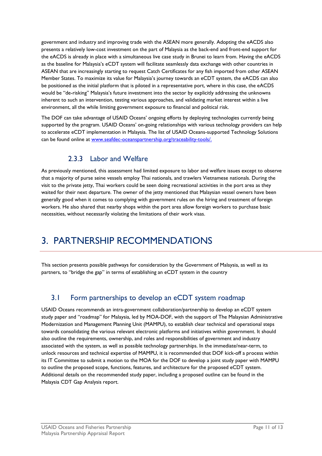government and industry and improving trade with the ASEAN more generally. Adopting the eACDS also presents a relatively low-cost investment on the part of Malaysia as the back-end and front-end support for the eACDS is already in place with a simultaneous live case study in Brunei to learn from. Having the eACDS as the baseline for Malaysia's eCDT system will facilitate seamlessly data exchange with other countries in ASEAN that are increasingly starting to request Catch Certificates for any fish imported from other ASEAN Member States. To maximize its value for Malaysia's journey towards an eCDT system, the eACDS can also be positioned as the initial platform that is piloted in a representative port, where in this case, the eACDS would be "de-risking" Malaysia's future investment into the sector by explicitly addressing the unknowns inherent to such an intervention, testing various approaches, and validating market interest within a live environment, all the while limiting government exposure to financial and political risk.

The DOF can take advantage of USAID Oceans' ongoing efforts by deploying technologies currently being supported by the program. USAID Oceans' on-going relationships with various technology providers can help to accelerate eCDT implementation in Malaysia. The list of USAID Oceans-supported Technology Solutions can be found online at www.seafdec-oceanspartnership.org/traceability-tools/.

#### 2.3.3 Labor and Welfare

<span id="page-12-0"></span>As previously mentioned, this assessment had limited exposure to labor and welfare issues except to observe that a majority of purse seine vessels employ Thai nationals, and trawlers Vietnamese nationals. During the visit to the private jetty, Thai workers could be seen doing recreational activities in the port area as they waited for their next departure. The owner of the jetty mentioned that Malaysian vessel owners have been generally good when it comes to complying with government rules on the hiring and treatment of foreign workers. He also shared that nearby shops within the port area allow foreign workers to purchase basic necessities, without necessarily violating the limitations of their work visas.

### <span id="page-12-1"></span>3. PARTNERSHIP RECOMMENDATIONS

This section presents possible pathways for consideration by the Government of Malaysia, as well as its partners, to "bridge the gap" in terms of establishing an eCDT system in the country

#### <span id="page-12-2"></span>3.1 Form partnerships to develop an eCDT system roadmap

USAID Oceans recommends an intra-government collaboration/partnership to develop an eCDT system study paper and "roadmap" for Malaysia, led by MOA-DOF, with the support of The Malaysian Administrative Modernization and Management Planning Unit (MAMPU), to establish clear technical and operational steps towards consolidating the various relevant electronic platforms and initiatives within government. It should also outline the requirements, ownership, and roles and responsibilities of government and industry associated with the system, as well as possible technology partnerships. In the immediate/near-term, to unlock resources and technical expertise of MAMPU, it is recommended that DOF kick-off a process within its IT Committee to submit a motion to the MOA for the DOF to develop a joint study paper with MAMPU to outline the proposed scope, functions, features, and architecture for the proposed eCDT system. Additional details on the recommended study paper, including a proposed outline can be found in the Malaysia CDT Gap Analysis report.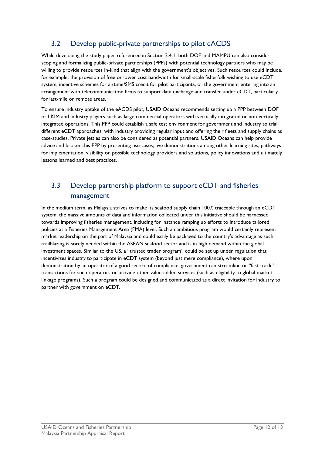#### <span id="page-13-0"></span>3.2 Develop public-private partnerships to pilot eACDS

While developing the study paper referenced in Section 2.4.1, both DOF and MAMPU can also consider scoping and formalizing public-private partnerships (PPPs) with potential technology partners who may be willing to provide resources in-kind that align with the government's objectives. Such resources could include, for example, the provision of free or lower cost bandwidth for small-scale fisherfolk wishing to use eCDT system, incentive schemes for airtime/SMS credit for pilot participants, or the government entering into an arrangement with telecommunication firms to support data exchange and transfer under eCDT, particularly for last-mile or remote areas.

To ensure industry uptake of the eACDS pilot, USAID Oceans recommends setting up a PPP between DOF or LKIM and industry players such as large commercial operators with vertically integrated or non-vertically integrated operations. This PPP could establish a safe test environment for government and industry to trial different eCDT approaches, with industry providing regular input and offering their fleets and supply chains as case-studies. Private jetties can also be considered as potential partners. USAID Oceans can help provide advice and broker this PPP by presenting use-cases, live demonstrations among other learning sites, pathways for implementation, visibility on possible technology providers and solutions, policy innovations and ultimately lessons learned and best practices.

### <span id="page-13-1"></span>3.3 Develop partnership platform to support eCDT and fisheries management

In the medium term, as Malaysia strives to make its seafood supply chain 100% traceable through an eCDT system, the massive amounts of data and information collected under this initiative should be harnessed towards improving fisheries management, including for instance ramping up efforts to introduce tailored policies at a Fisheries Management Area (FMA) level. Such an ambitious program would certainly represent market leadership on the part of Malaysia and could easily be packaged to the country's advantage as such trailblazing is sorely needed within the ASEAN seafood sector and is in high demand within the global investment spaces. Similar to the US, a "trusted trader program" could be set up under regulation that incentivizes industry to participate in eCDT system (beyond just mere compliance), where upon demonstration by an operator of a good record of compliance, government can streamline or "fast-track" transactions for such operators or provide other value-added services (such as eligibility to global market linkage programs). Such a program could be designed and communicated as a direct invitation for industry to partner with government on eCDT.